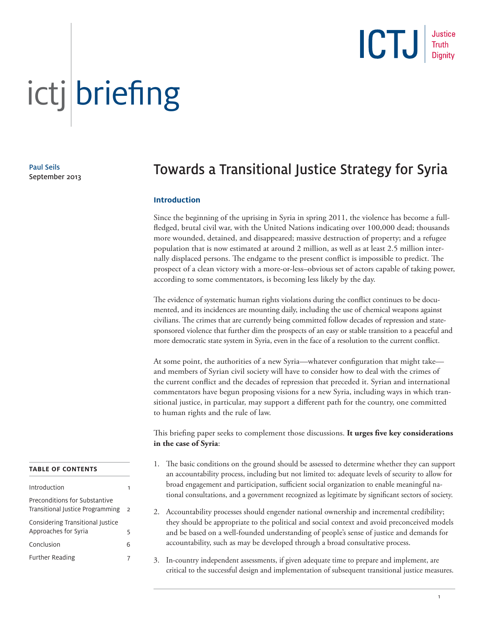

Paul Seils September 2013

### Towards a Transitional Justice Strategy for Syria

#### **Introduction**

Since the beginning of the uprising in Syria in spring 2011, the violence has become a fullfledged, brutal civil war, with the United Nations indicating over 100,000 dead; thousands more wounded, detained, and disappeared; massive destruction of property; and a refugee population that is now estimated at around 2 million, as well as at least 2.5 million internally displaced persons. The endgame to the present conflict is impossible to predict. The prospect of a clean victory with a more-or-less–obvious set of actors capable of taking power, according to some commentators, is becoming less likely by the day.

The evidence of systematic human rights violations during the conflict continues to be documented, and its incidences are mounting daily, including the use of chemical weapons against civilians. The crimes that are currently being committed follow decades of repression and statesponsored violence that further dim the prospects of an easy or stable transition to a peaceful and more democratic state system in Syria, even in the face of a resolution to the current conflict.

At some point, the authorities of a new Syria—whatever configuration that might take and members of Syrian civil society will have to consider how to deal with the crimes of the current conflict and the decades of repression that preceded it. Syrian and international commentators have begun proposing visions for a new Syria, including ways in which transitional justice, in particular, may support a different path for the country, one committed to human rights and the rule of law.

This briefing paper seeks to complement those discussions. It urges five key considerations **in the case of Syria**:

- 1. The basic conditions on the ground should be assessed to determine whether they can support an accountability process, including but not limited to: adequate levels of security to allow for broad engagement and participation, sufficient social organization to enable meaningful national consultations, and a government recognized as legitimate by significant sectors of society.
- 2. Accountability processes should engender national ownership and incremental credibility; they should be appropriate to the political and social context and avoid preconceived models and be based on a well-founded understanding of people's sense of justice and demands for accountability, such as may be developed through a broad consultative process.
- 3. In-country independent assessments, if given adequate time to prepare and implement, are critical to the successful design and implementation of subsequent transitional justice measures.

#### **TABLE OF CONTENTS**

| Introduction                                                      |                |
|-------------------------------------------------------------------|----------------|
| Preconditions for Substantive<br>Transitional Justice Programming | $\overline{2}$ |
| Considering Transitional Justice<br>Approaches for Syria          | 5              |
| Conclusion                                                        | 6              |
| <b>Further Reading</b>                                            |                |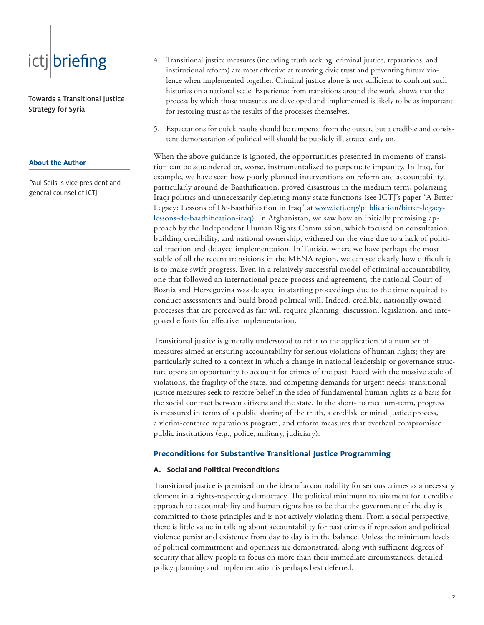Towards a Transitional Justice Strategy for Syria

#### **About the Author**

Paul Seils is vice president and general counsel of ICTJ.

- 4. Transitional justice measures (including truth seeking, criminal justice, reparations, and institutional reform) are most effective at restoring civic trust and preventing future violence when implemented together. Criminal justice alone is not sufficient to confront such histories on a national scale. Experience from transitions around the world shows that the process by which those measures are developed and implemented is likely to be as important for restoring trust as the results of the processes themselves.
- 5. Expectations for quick results should be tempered from the outset, but a credible and consistent demonstration of political will should be publicly illustrated early on.

When the above guidance is ignored, the opportunities presented in moments of transition can be squandered or, worse, instrumentalized to perpetuate impunity. In Iraq, for example, we have seen how poorly planned interventions on reform and accountability, particularly around de-Baathification, proved disastrous in the medium term, polarizing Iraqi politics and unnecessarily depleting many state functions (see ICTJ's paper "A Bitter Legacy: Lessons of De-Baathification in Iraq" at www.ictj.org/publication/bitter-legacylessons-de-baathification-iraq). In Afghanistan, we saw how an initially promising approach by the Independent Human Rights Commission, which focused on consultation, building credibility, and national ownership, withered on the vine due to a lack of political traction and delayed implementation. In Tunisia, where we have perhaps the most stable of all the recent transitions in the MENA region, we can see clearly how difficult it is to make swift progress. Even in a relatively successful model of criminal accountability, one that followed an international peace process and agreement, the national Court of Bosnia and Herzegovina was delayed in starting proceedings due to the time required to conduct assessments and build broad political will. Indeed, credible, nationally owned processes that are perceived as fair will require planning, discussion, legislation, and integrated efforts for effective implementation.

Transitional justice is generally understood to refer to the application of a number of measures aimed at ensuring accountability for serious violations of human rights; they are particularly suited to a context in which a change in national leadership or governance structure opens an opportunity to account for crimes of the past. Faced with the massive scale of violations, the fragility of the state, and competing demands for urgent needs, transitional justice measures seek to restore belief in the idea of fundamental human rights as a basis for the social contract between citizens and the state. In the short- to medium-term, progress is measured in terms of a public sharing of the truth, a credible criminal justice process, a victim-centered reparations program, and reform measures that overhaul compromised public institutions (e.g., police, military, judiciary).

#### **Preconditions for Substantive Transitional Justice Programming**

#### **A. Social and Political Preconditions**

Transitional justice is premised on the idea of accountability for serious crimes as a necessary element in a rights-respecting democracy. The political minimum requirement for a credible approach to accountability and human rights has to be that the government of the day is committed to those principles and is not actively violating them. From a social perspective, there is little value in talking about accountability for past crimes if repression and political violence persist and existence from day to day is in the balance. Unless the minimum levels of political commitment and openness are demonstrated, along with sufficient degrees of security that allow people to focus on more than their immediate circumstances, detailed policy planning and implementation is perhaps best deferred.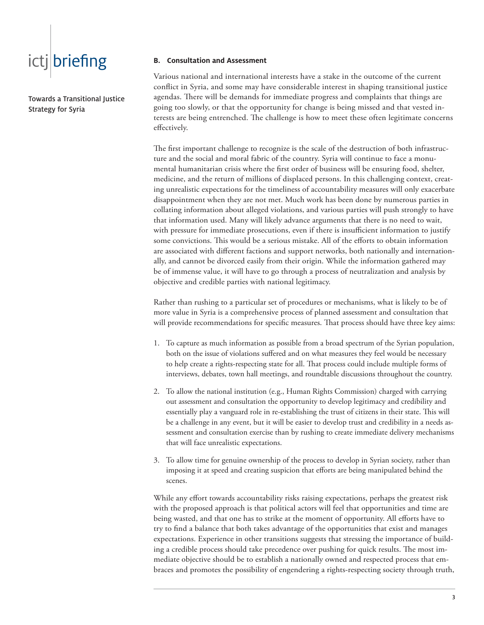Towards a Transitional Justice Strategy for Syria

#### **B. Consultation and Assessment**

Various national and international interests have a stake in the outcome of the current conflict in Syria, and some may have considerable interest in shaping transitional justice agendas. There will be demands for immediate progress and complaints that things are going too slowly, or that the opportunity for change is being missed and that vested interests are being entrenched. The challenge is how to meet these often legitimate concerns effectively.

The first important challenge to recognize is the scale of the destruction of both infrastructure and the social and moral fabric of the country. Syria will continue to face a monumental humanitarian crisis where the first order of business will be ensuring food, shelter, medicine, and the return of millions of displaced persons. In this challenging context, creating unrealistic expectations for the timeliness of accountability measures will only exacerbate disappointment when they are not met. Much work has been done by numerous parties in collating information about alleged violations, and various parties will push strongly to have that information used. Many will likely advance arguments that there is no need to wait, with pressure for immediate prosecutions, even if there is insufficient information to justify some convictions. This would be a serious mistake. All of the efforts to obtain information are associated with different factions and support networks, both nationally and internationally, and cannot be divorced easily from their origin. While the information gathered may be of immense value, it will have to go through a process of neutralization and analysis by objective and credible parties with national legitimacy.

Rather than rushing to a particular set of procedures or mechanisms, what is likely to be of more value in Syria is a comprehensive process of planned assessment and consultation that will provide recommendations for specific measures. That process should have three key aims:

- 1. To capture as much information as possible from a broad spectrum of the Syrian population, both on the issue of violations suffered and on what measures they feel would be necessary to help create a rights-respecting state for all. That process could include multiple forms of interviews, debates, town hall meetings, and roundtable discussions throughout the country.
- 2. To allow the national institution (e.g., Human Rights Commission) charged with carrying out assessment and consultation the opportunity to develop legitimacy and credibility and essentially play a vanguard role in re-establishing the trust of citizens in their state. This will be a challenge in any event, but it will be easier to develop trust and credibility in a needs assessment and consultation exercise than by rushing to create immediate delivery mechanisms that will face unrealistic expectations.
- 3. To allow time for genuine ownership of the process to develop in Syrian society, rather than imposing it at speed and creating suspicion that efforts are being manipulated behind the scenes.

While any effort towards accountability risks raising expectations, perhaps the greatest risk with the proposed approach is that political actors will feel that opportunities and time are being wasted, and that one has to strike at the moment of opportunity. All efforts have to try to find a balance that both takes advantage of the opportunities that exist and manages expectations. Experience in other transitions suggests that stressing the importance of building a credible process should take precedence over pushing for quick results. The most immediate objective should be to establish a nationally owned and respected process that embraces and promotes the possibility of engendering a rights-respecting society through truth,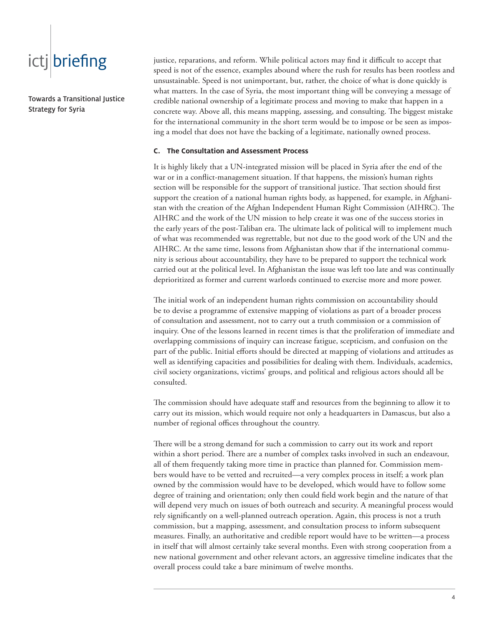Towards a Transitional Justice Strategy for Syria

justice, reparations, and reform. While political actors may find it difficult to accept that speed is not of the essence, examples abound where the rush for results has been rootless and unsustainable. Speed is not unimportant, but, rather, the choice of what is done quickly is what matters. In the case of Syria, the most important thing will be conveying a message of credible national ownership of a legitimate process and moving to make that happen in a concrete way. Above all, this means mapping, assessing, and consulting. The biggest mistake for the international community in the short term would be to impose or be seen as imposing a model that does not have the backing of a legitimate, nationally owned process.

#### **C. The Consultation and Assessment Process**

It is highly likely that a UN-integrated mission will be placed in Syria after the end of the war or in a conflict-management situation. If that happens, the mission's human rights section will be responsible for the support of transitional justice. That section should first support the creation of a national human rights body, as happened, for example, in Afghanistan with the creation of the Afghan Independent Human Right Commission (AIHRC). The AIHRC and the work of the UN mission to help create it was one of the success stories in the early years of the post-Taliban era. The ultimate lack of political will to implement much of what was recommended was regrettable, but not due to the good work of the UN and the AIHRC. At the same time, lessons from Afghanistan show that if the international community is serious about accountability, they have to be prepared to support the technical work carried out at the political level. In Afghanistan the issue was left too late and was continually deprioritized as former and current warlords continued to exercise more and more power.

The initial work of an independent human rights commission on accountability should be to devise a programme of extensive mapping of violations as part of a broader process of consultation and assessment, not to carry out a truth commission or a commission of inquiry. One of the lessons learned in recent times is that the proliferation of immediate and overlapping commissions of inquiry can increase fatigue, scepticism, and confusion on the part of the public. Initial efforts should be directed at mapping of violations and attitudes as well as identifying capacities and possibilities for dealing with them. Individuals, academics, civil society organizations, victims' groups, and political and religious actors should all be consulted.

The commission should have adequate staff and resources from the beginning to allow it to carry out its mission, which would require not only a headquarters in Damascus, but also a number of regional offices throughout the country.

There will be a strong demand for such a commission to carry out its work and report within a short period. There are a number of complex tasks involved in such an endeavour, all of them frequently taking more time in practice than planned for. Commission members would have to be vetted and recruited—a very complex process in itself; a work plan owned by the commission would have to be developed, which would have to follow some degree of training and orientation; only then could field work begin and the nature of that will depend very much on issues of both outreach and security. A meaningful process would rely significantly on a well-planned outreach operation. Again, this process is not a truth commission, but a mapping, assessment, and consultation process to inform subsequent measures. Finally, an authoritative and credible report would have to be written—a process in itself that will almost certainly take several months. Even with strong cooperation from a new national government and other relevant actors, an aggressive timeline indicates that the overall process could take a bare minimum of twelve months.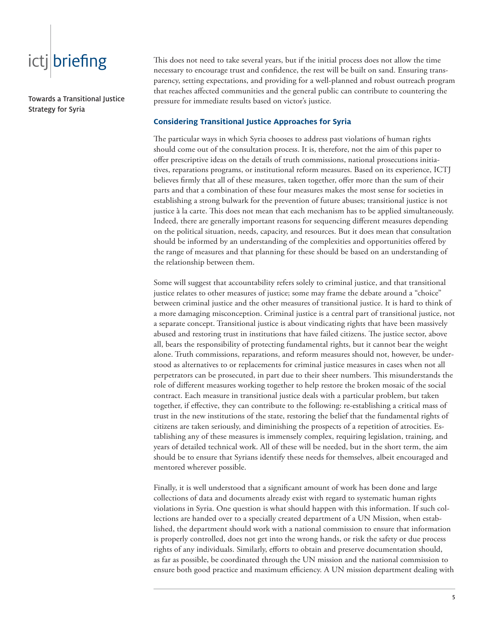Towards a Transitional Justice Strategy for Syria

This does not need to take several years, but if the initial process does not allow the time necessary to encourage trust and confidence, the rest will be built on sand. Ensuring transparency, setting expectations, and providing for a well-planned and robust outreach program that reaches affected communities and the general public can contribute to countering the pressure for immediate results based on victor's justice.

#### **Considering Transitional Justice Approaches for Syria**

The particular ways in which Syria chooses to address past violations of human rights should come out of the consultation process. It is, therefore, not the aim of this paper to offer prescriptive ideas on the details of truth commissions, national prosecutions initiatives, reparations programs, or institutional reform measures. Based on its experience, ICTJ believes firmly that all of these measures, taken together, offer more than the sum of their parts and that a combination of these four measures makes the most sense for societies in establishing a strong bulwark for the prevention of future abuses; transitional justice is not justice à la carte. This does not mean that each mechanism has to be applied simultaneously. Indeed, there are generally important reasons for sequencing different measures depending on the political situation, needs, capacity, and resources. But it does mean that consultation should be informed by an understanding of the complexities and opportunities offered by the range of measures and that planning for these should be based on an understanding of the relationship between them.

Some will suggest that accountability refers solely to criminal justice, and that transitional justice relates to other measures of justice; some may frame the debate around a "choice" between criminal justice and the other measures of transitional justice. It is hard to think of a more damaging misconception. Criminal justice is a central part of transitional justice, not a separate concept. Transitional justice is about vindicating rights that have been massively abused and restoring trust in institutions that have failed citizens. The justice sector, above all, bears the responsibility of protecting fundamental rights, but it cannot bear the weight alone. Truth commissions, reparations, and reform measures should not, however, be understood as alternatives to or replacements for criminal justice measures in cases when not all perpetrators can be prosecuted, in part due to their sheer numbers. This misunderstands the role of different measures working together to help restore the broken mosaic of the social contract. Each measure in transitional justice deals with a particular problem, but taken together, if effective, they can contribute to the following: re-establishing a critical mass of trust in the new institutions of the state, restoring the belief that the fundamental rights of citizens are taken seriously, and diminishing the prospects of a repetition of atrocities. Establishing any of these measures is immensely complex, requiring legislation, training, and years of detailed technical work. All of these will be needed, but in the short term, the aim should be to ensure that Syrians identify these needs for themselves, albeit encouraged and mentored wherever possible.

Finally, it is well understood that a significant amount of work has been done and large collections of data and documents already exist with regard to systematic human rights violations in Syria. One question is what should happen with this information. If such collections are handed over to a specially created department of a UN Mission, when established, the department should work with a national commission to ensure that information is properly controlled, does not get into the wrong hands, or risk the safety or due process rights of any individuals. Similarly, efforts to obtain and preserve documentation should, as far as possible, be coordinated through the UN mission and the national commission to ensure both good practice and maximum efficiency. A UN mission department dealing with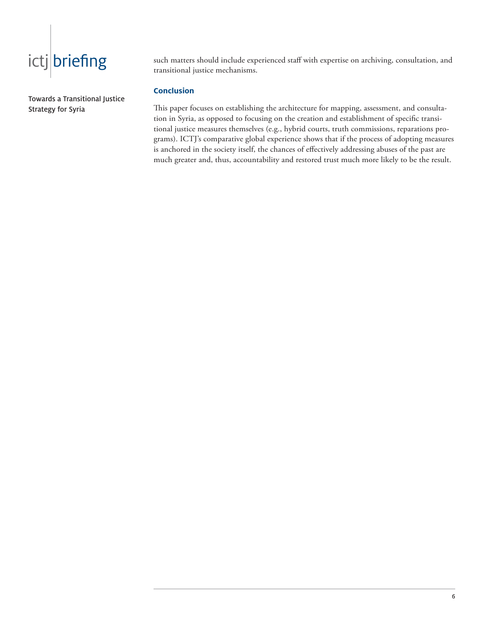Towards a Transitional Justice Strategy for Syria

such matters should include experienced staff with expertise on archiving, consultation, and transitional justice mechanisms.

#### **Conclusion**

This paper focuses on establishing the architecture for mapping, assessment, and consultation in Syria, as opposed to focusing on the creation and establishment of specific transitional justice measures themselves (e.g., hybrid courts, truth commissions, reparations programs). ICTJ's comparative global experience shows that if the process of adopting measures is anchored in the society itself, the chances of effectively addressing abuses of the past are much greater and, thus, accountability and restored trust much more likely to be the result.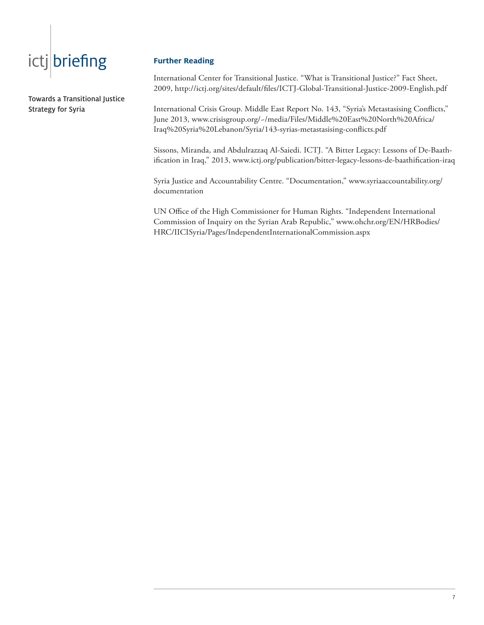Towards a Transitional Justice Strategy for Syria

#### **Further Reading**

International Center for Transitional Justice. "What is Transitional Justice?" Fact Sheet, 2009, http://ictj.org/sites/default/files/ICTJ-Global-Transitional-Justice-2009-English.pdf

International Crisis Group. Middle East Report No. 143, "Syria's Metastasising Conflicts," June 2013, www.crisisgroup.org/~/media/Files/Middle%20East%20North%20Africa/ Iraq%20Syria%20Lebanon/Syria/143-syrias-metastasising-conflicts.pdf

Sissons, Miranda, and Abdulrazzaq Al-Saiedi. ICTJ. "A Bitter Legacy: Lessons of De-Baathification in Iraq," 2013, www.ictj.org/publication/bitter-legacy-lessons-de-baathification-iraq

Syria Justice and Accountability Centre. "Documentation," www.syriaaccountability.org/ documentation

UN Office of the High Commissioner for Human Rights. "Independent International Commission of Inquiry on the Syrian Arab Republic," www.ohchr.org/EN/HRBodies/ HRC/IICISyria/Pages/IndependentInternationalCommission.aspx